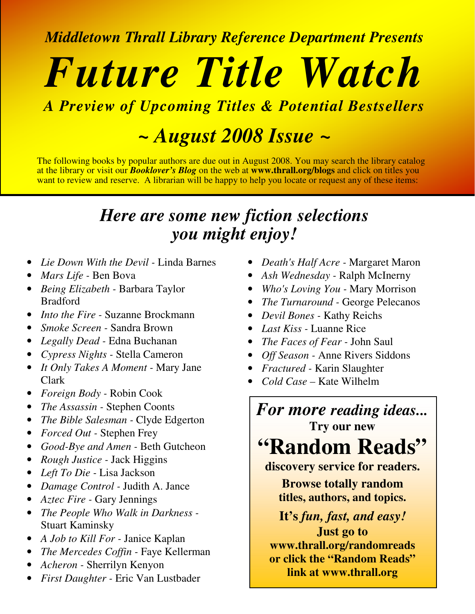*Middletown Thrall Library Reference Department Presents*

# *Future Title Watch*

## *A Preview of Upcoming Titles & Potential Bestsellers*

# *~ August 2008 Issue ~*

The following books by popular authors are due out in August 2008. You may search the library catalog at the library or visit our *Booklover's Blog* on the web at **www.thrall.org/blogs** and click on titles you want to review and reserve. A librarian will be happy to help you locate or request any of these items:

## *Here are some new fiction selections you might enjoy!*

- *Lie Down With the Devil -* Linda Barnes
- *Mars Life -* Ben Bova
- *Being Elizabeth -* Barbara Taylor **Bradford**
- *Into the Fire -* Suzanne Brockmann
- *Smoke Screen -* Sandra Brown
- *Legally Dead -* Edna Buchanan
- *Cypress Nights -* Stella Cameron
- *It Only Takes A Moment -* Mary Jane Clark
- *Foreign Body -* Robin Cook
- *The Assassin -* Stephen Coonts
- *The Bible Salesman -* Clyde Edgerton
- *Forced Out -* Stephen Frey
- *Good-Bye and Amen -* Beth Gutcheon
- *Rough Justice -* Jack Higgins
- *Left To Die -* Lisa Jackson
- *Damage Control -* Judith A. Jance
- *Aztec Fire -* Gary Jennings
- *The People Who Walk in Darkness -* Stuart Kaminsky
- *A Job to Kill For -* Janice Kaplan
- *The Mercedes Coffin -* Faye Kellerman
- *Acheron -* Sherrilyn Kenyon
- *First Daughter -* Eric Van Lustbader
- *Death's Half Acre -* Margaret Maron
- *Ash Wednesday -* Ralph McInerny
- *Who's Loving You -* Mary Morrison
- *The Turnaround -* George Pelecanos
- *Devil Bones -* Kathy Reichs
- *Last Kiss -* Luanne Rice
- *The Faces of Fear -* John Saul
- *Off Season -* Anne Rivers Siddons
- *Fractured -* Karin Slaughter
- *Cold Case –* Kate Wilhelm

### *For more reading ideas...* **Try our new**

**"Random Reads"**

**discovery service for readers.**

**Browse totally random titles, authors, and topics.**

**It's** *fun, fast, and easy!*

**Just go to www.thrall.org/randomreads or click the "Random Reads" link at www.thrall.org**